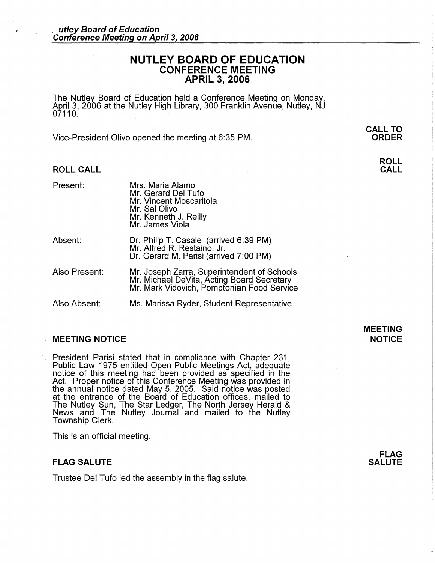# **NUTLEY BOARD OF EDUCATION CONFERENCE MEETING APRIL 3, 2006**

The Nutley Board of Education held a Conference Meeting on Monday, April 3, 2006 at the Nutley High Library, 300 Franklin Avenue, Nutley, NJ 07110.

Vice-President Olivo opened the meeting at 6:35 PM.

## **ROLL CALL**

| Present:      | Mrs. Maria Alamo<br>Mr. Gerard Del Tufo<br>Mr. Vincent Moscaritola<br>Mr. Sal Olivo<br>Mr. Kenneth J. Reilly<br>Mr. James Viola         |
|---------------|-----------------------------------------------------------------------------------------------------------------------------------------|
| Absent:       | Dr. Philip T. Casale (arrived 6:39 PM)<br>Mr. Alfred R. Restaino, Jr.<br>Dr. Gerard M. Parisi (arrived 7:00 PM)                         |
| Also Present: | Mr. Joseph Zarra, Superintendent of Schools<br>Mr. Michael DeVita, Acting Board Secretary<br>Mr. Mark Vidovich, Pomptonian Food Service |
| Also Absent:  | Ms. Marissa Ryder, Student Representative                                                                                               |

#### **MEETING NOTICE NOTICE AND INSTRUCCION CONTROL**

President Parisi stated that in compliance with Chapter 231, Public Law 1975 entitled Open Public Meetings Act, adequate notice of this meeting had been provided as specified in the Act. Proper notice of this Conference Meeting was provided in the annual notice dated May 5, 2005. Said notice was posted at the entrance of the Board of Education offices, mailed to The Nutley Sun, The Star Ledger, The North Jersey Herald & News and The Nutley Journal and mailed to the Nutley Township Clerk.

This is an official meeting.

#### **FLAG SALUTE**

Trustee Del Tufo led the assembly in the flag salute.

# **MEETING**

**CALL TO ORDER** 

> **ROLL CALL**

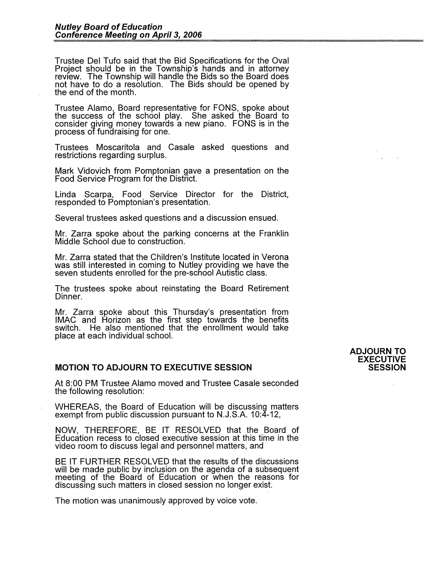Trustee Del Tufo said that the Bid Specifications for the Oval Project should be in the Township's hands and in attorney review. The Township will handle the Bids so the Board does not have to do a resolution. The Bids should be opened by the end of the month.

Trustee Alamo, Board representative for FONS, spoke about the success of the school play. She asked the Board to consider giving money towards a new piano. FONS is in the process of fundraising for one.

Trustees Moscaritola and Casale asked questions and restrictions regarding surplus.

Mark Vidovich from Pomptonian gave a presentation on the Food Service Program for the District.

Linda Scarpa, Food Service Director for the District, responded to Pomptonian's presentation.

Several trustees asked questions and a discussion ensued.

Mr. Zarra spoke about the parking concerns at the Franklin Middle School due to construction.

Mr. Zarra stated that the Children's Institute located in Verona was still interested in coming to Nutley providing we have the seven students enrolled for the pre-school Autistic class.

The trustees spoke about reinstating the Board Retirement Dinner.

Mr. Zarra spoke about this Thursday's presentation from IMAC and Horizon as the first step towards the benefits switch. He also mentioned that the enrollment would take place at each individual school.

### **MOTION TO ADJOURN TO EXECUTIVE SESSION**

At 8:00 PM Trustee Alamo moved and Trustee Casale seconded the following resolution:

WHEREAS, the Board of Education will be discussing matters exempt from public discussion pursuant to N.J.S.A. 10:4-12,

NOW, THEREFORE, BE IT RESOLVED that the Board of Education recess to closed executive session at this time in the video room to discuss legal and personnel matters, and

BE IT FURTHER RESOLVED that the results of the discussions will be made public by inclusion on the agenda of a subsequent meeting of the Board of Education or when the reasons for discussing such matters in closed session no longer exist.

The motion was unanimously approved by voice vote.

#### **ADJOURN TO EXECUTIVE SESSION**